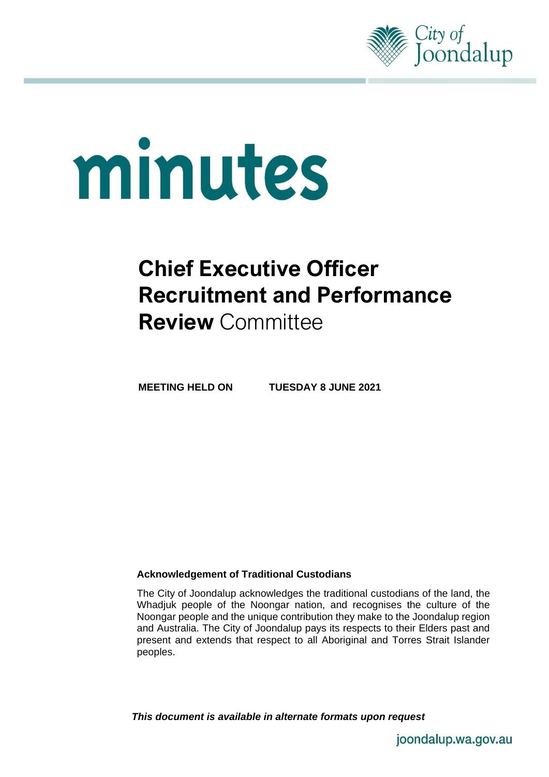

# minutes

# **Chief Executive Officer Recruitment and Performance Review** Committee

**MEETING HELD ON TUESDAY 8 JUNE 2021**

# **Acknowledgement of Traditional Custodians**

The City of Joondalup acknowledges the traditional custodians of the land, the Whadjuk people of the Noongar nation, and recognises the culture of the Noongar people and the unique contribution they make to the Joondalup region and Australia. The City of Joondalup pays its respects to their Elders past and present and extends that respect to all Aboriginal and Torres Strait Islander peoples.

*This document is available in alternate formats upon request*

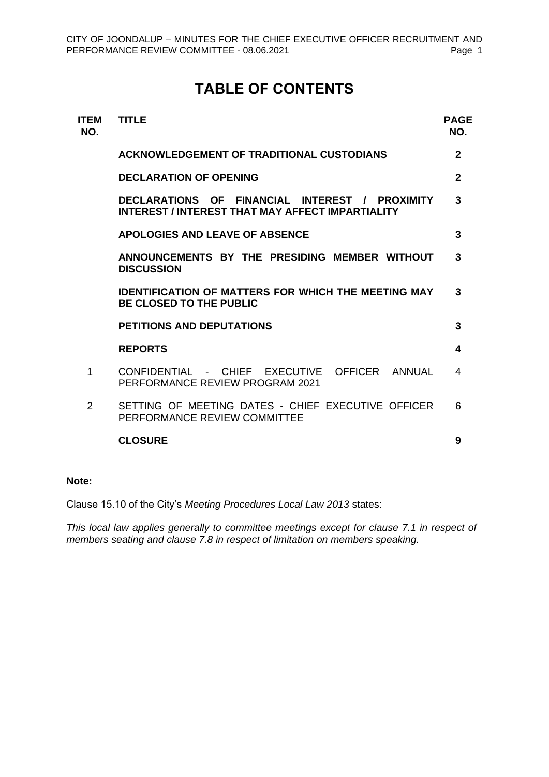# **TABLE OF CONTENTS**

| <b>ITEM</b><br>NO. | <b>TITLE</b>                                                                                       | <b>PAGE</b><br>NO. |
|--------------------|----------------------------------------------------------------------------------------------------|--------------------|
|                    | <b>ACKNOWLEDGEMENT OF TRADITIONAL CUSTODIANS</b>                                                   | $\mathbf{2}$       |
|                    | <b>DECLARATION OF OPENING</b>                                                                      | $\mathbf{2}$       |
|                    | DECLARATIONS OF FINANCIAL INTEREST / PROXIMITY<br>INTEREST / INTEREST THAT MAY AFFECT IMPARTIALITY | 3                  |
|                    | <b>APOLOGIES AND LEAVE OF ABSENCE</b>                                                              | 3                  |
|                    | ANNOUNCEMENTS BY THE PRESIDING MEMBER WITHOUT<br><b>DISCUSSION</b>                                 | 3                  |
|                    | <b>IDENTIFICATION OF MATTERS FOR WHICH THE MEETING MAY</b><br><b>BE CLOSED TO THE PUBLIC</b>       | 3                  |
|                    | <b>PETITIONS AND DEPUTATIONS</b>                                                                   | 3                  |
|                    | <b>REPORTS</b>                                                                                     | 4                  |
| 1                  | CONFIDENTIAL - CHIEF EXECUTIVE OFFICER ANNUAL<br>PERFORMANCE REVIEW PROGRAM 2021                   | 4                  |
| $\mathcal{P}$      | SETTING OF MEETING DATES - CHIEF EXECUTIVE OFFICER<br>PERFORMANCE REVIEW COMMITTEE                 | 6                  |
|                    | <b>CLOSURE</b>                                                                                     | 9                  |
|                    |                                                                                                    |                    |

# **Note:**

Clause 15.10 of the City's *Meeting Procedures Local Law 2013* states:

*This local law applies generally to committee meetings except for clause 7.1 in respect of members seating and clause 7.8 in respect of limitation on members speaking.*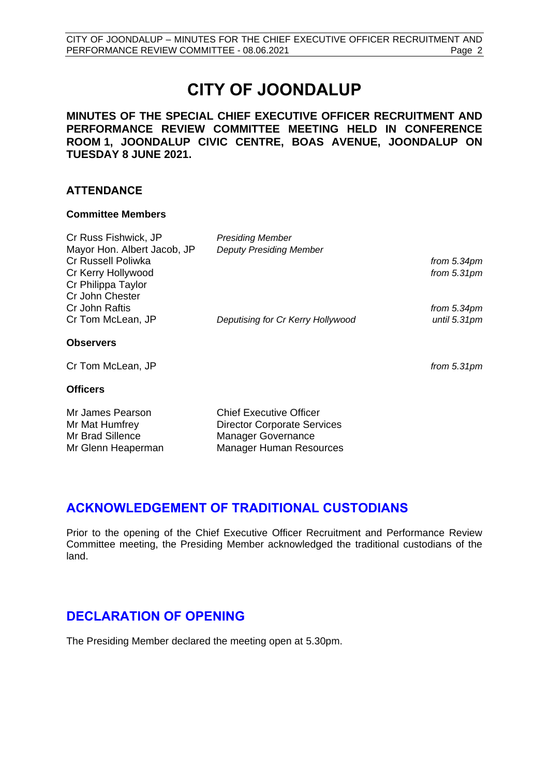# **CITY OF JOONDALUP**

**MINUTES OF THE SPECIAL CHIEF EXECUTIVE OFFICER RECRUITMENT AND PERFORMANCE REVIEW COMMITTEE MEETING HELD IN CONFERENCE ROOM 1, JOONDALUP CIVIC CENTRE, BOAS AVENUE, JOONDALUP ON TUESDAY 8 JUNE 2021.**

# **ATTENDANCE**

### **Committee Members**

| Cr Russ Fishwick, JP        | <b>Presiding Member</b>            |               |
|-----------------------------|------------------------------------|---------------|
| Mayor Hon. Albert Jacob, JP | <b>Deputy Presiding Member</b>     |               |
| Cr Russell Poliwka          |                                    | from 5.34pm   |
| Cr Kerry Hollywood          |                                    | from $5.31pm$ |
| Cr Philippa Taylor          |                                    |               |
| Cr John Chester             |                                    |               |
| Cr John Raftis              |                                    | from 5.34pm   |
| Cr Tom McLean, JP           | Deputising for Cr Kerry Hollywood  | until 5.31pm  |
| <b>Observers</b>            |                                    |               |
| Cr Tom McLean, JP           |                                    | from $5.31pm$ |
| <b>Officers</b>             |                                    |               |
| Mr James Pearson            | <b>Chief Executive Officer</b>     |               |
| Mr Mat Humfrey              | <b>Director Corporate Services</b> |               |
| Mr Brad Sillence            | <b>Manager Governance</b>          |               |
| Mr Glenn Heaperman          | <b>Manager Human Resources</b>     |               |

# <span id="page-2-0"></span>**ACKNOWLEDGEMENT OF TRADITIONAL CUSTODIANS**

Prior to the opening of the Chief Executive Officer Recruitment and Performance Review Committee meeting, the Presiding Member acknowledged the traditional custodians of the land.

# <span id="page-2-1"></span>**DECLARATION OF OPENING**

The Presiding Member declared the meeting open at 5.30pm.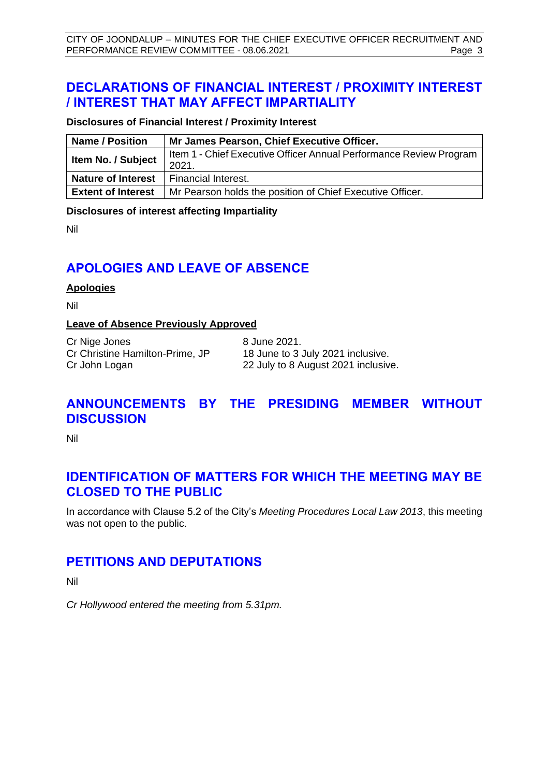# <span id="page-3-0"></span>**DECLARATIONS OF FINANCIAL INTEREST / PROXIMITY INTEREST / INTEREST THAT MAY AFFECT IMPARTIALITY**

# **Disclosures of Financial Interest / Proximity Interest**

| <b>Name / Position</b>    | Mr James Pearson, Chief Executive Officer.                                  |
|---------------------------|-----------------------------------------------------------------------------|
| Item No. / Subject        | Item 1 - Chief Executive Officer Annual Performance Review Program<br>2021. |
| <b>Nature of Interest</b> | Financial Interest.                                                         |
| <b>Extent of Interest</b> | Mr Pearson holds the position of Chief Executive Officer.                   |

### **Disclosures of interest affecting Impartiality**

Nil

# <span id="page-3-1"></span>**APOLOGIES AND LEAVE OF ABSENCE**

### **Apologies**

Nil

# **Leave of Absence Previously Approved**

Cr Nige Jones 8 June 2021. Cr Christine Hamilton-Prime, JP 18 June to 3 July 2021 inclusive.

Cr John Logan 22 July to 8 August 2021 inclusive.

# <span id="page-3-2"></span>**ANNOUNCEMENTS BY THE PRESIDING MEMBER WITHOUT DISCUSSION**

Nil

# <span id="page-3-3"></span>**IDENTIFICATION OF MATTERS FOR WHICH THE MEETING MAY BE CLOSED TO THE PUBLIC**

In accordance with Clause 5.2 of the City's *Meeting Procedures Local Law 2013*, this meeting was not open to the public.

# <span id="page-3-4"></span>**PETITIONS AND DEPUTATIONS**

Nil

*Cr Hollywood entered the meeting from 5.31pm.*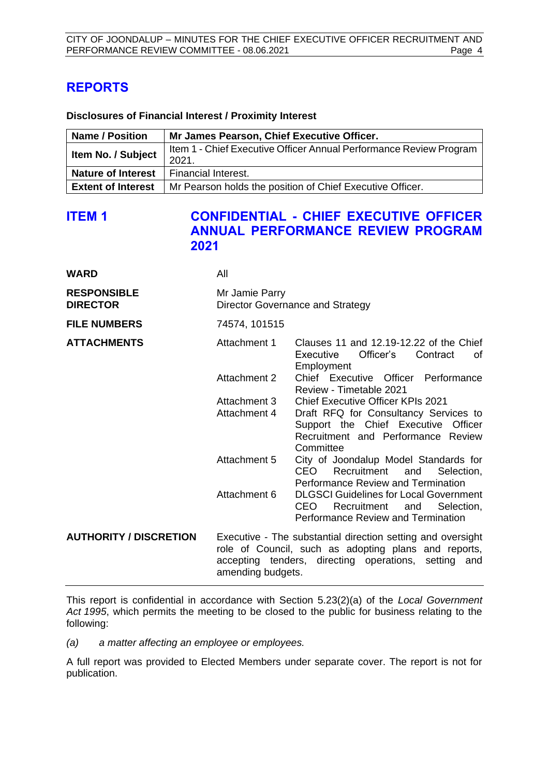# <span id="page-4-0"></span>**REPORTS**

### **Disclosures of Financial Interest / Proximity Interest**

| <b>Name / Position</b>    | Mr James Pearson, Chief Executive Officer.                                  |
|---------------------------|-----------------------------------------------------------------------------|
| Item No. / Subject        | Item 1 - Chief Executive Officer Annual Performance Review Program<br>2021. |
| <b>Nature of Interest</b> | Financial Interest.                                                         |
| <b>Extent of Interest</b> | Mr Pearson holds the position of Chief Executive Officer.                   |

# <span id="page-4-1"></span>**ITEM 1 CONFIDENTIAL - CHIEF EXECUTIVE OFFICER ANNUAL PERFORMANCE REVIEW PROGRAM 2021**

| <b>WARD</b>                           | All                                                |                                                                                                                                                                             |  |
|---------------------------------------|----------------------------------------------------|-----------------------------------------------------------------------------------------------------------------------------------------------------------------------------|--|
| <b>RESPONSIBLE</b><br><b>DIRECTOR</b> | Mr Jamie Parry<br>Director Governance and Strategy |                                                                                                                                                                             |  |
| <b>FILE NUMBERS</b>                   | 74574, 101515                                      |                                                                                                                                                                             |  |
| <b>ATTACHMENTS</b>                    | Attachment 1                                       | Clauses 11 and 12.19-12.22 of the Chief<br>Executive<br>Officer's<br>Contract<br>of<br>Employment                                                                           |  |
|                                       | Attachment 2                                       | Chief Executive Officer Performance<br>Review - Timetable 2021                                                                                                              |  |
|                                       | Attachment 3                                       | <b>Chief Executive Officer KPIs 2021</b>                                                                                                                                    |  |
|                                       | Attachment 4                                       | Draft RFQ for Consultancy Services to<br>Support the Chief Executive Officer<br>Recruitment and Performance Review<br>Committee                                             |  |
|                                       | Attachment 5                                       | City of Joondalup Model Standards for<br>CEO<br>Recruitment<br>and<br>Selection,<br>Performance Review and Termination                                                      |  |
|                                       | Attachment 6                                       | <b>DLGSCI Guidelines for Local Government</b><br>CEO<br>Recruitment and<br>Selection,<br>Performance Review and Termination                                                 |  |
| <b>AUTHORITY / DISCRETION</b>         | amending budgets.                                  | Executive - The substantial direction setting and oversight<br>role of Council, such as adopting plans and reports,<br>accepting tenders, directing operations, setting and |  |

This report is confidential in accordance with Section 5.23(2)(a) of the *Local Government Act 1995*, which permits the meeting to be closed to the public for business relating to the following:

*(a) a matter affecting an employee or employees.* 

A full report was provided to Elected Members under separate cover. The report is not for publication.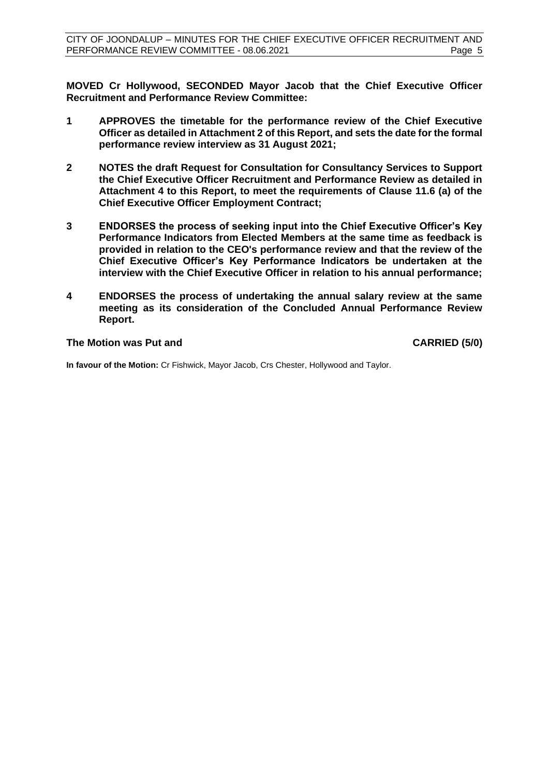**MOVED Cr Hollywood, SECONDED Mayor Jacob that the Chief Executive Officer Recruitment and Performance Review Committee:**

- **1 APPROVES the timetable for the performance review of the Chief Executive Officer as detailed in Attachment 2 of this Report, and sets the date for the formal performance review interview as 31 August 2021;**
- **2 NOTES the draft Request for Consultation for Consultancy Services to Support the Chief Executive Officer Recruitment and Performance Review as detailed in Attachment 4 to this Report, to meet the requirements of Clause 11.6 (a) of the Chief Executive Officer Employment Contract;**
- **3 ENDORSES the process of seeking input into the Chief Executive Officer's Key Performance Indicators from Elected Members at the same time as feedback is provided in relation to the CEO's performance review and that the review of the Chief Executive Officer's Key Performance Indicators be undertaken at the interview with the Chief Executive Officer in relation to his annual performance;**
- **4 ENDORSES the process of undertaking the annual salary review at the same meeting as its consideration of the Concluded Annual Performance Review Report.**

### **The Motion was Put and CARRIED (5/0)**

**In favour of the Motion:** Cr Fishwick, Mayor Jacob, Crs Chester, Hollywood and Taylor.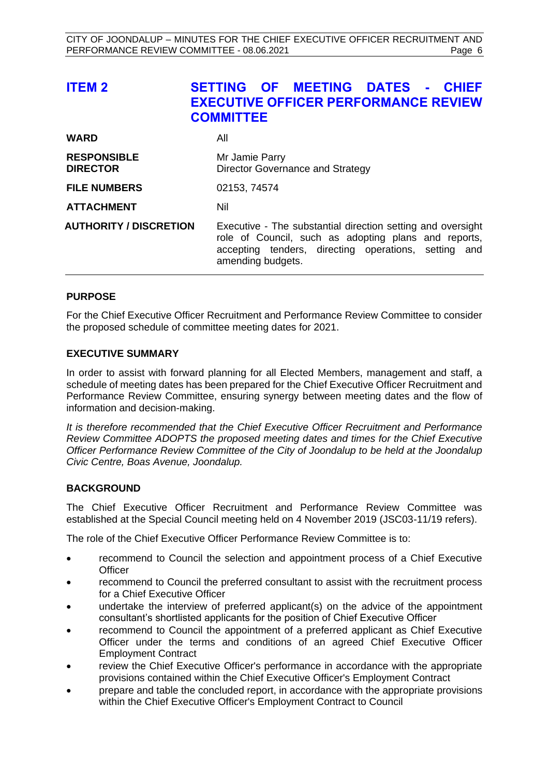<span id="page-6-0"></span>

| <b>ITEM 2</b>                         | SETTING OF MEETING DATES - CHIEF<br><b>EXECUTIVE OFFICER PERFORMANCE REVIEW</b><br><b>COMMITTEE</b>                                                                                              |
|---------------------------------------|--------------------------------------------------------------------------------------------------------------------------------------------------------------------------------------------------|
| <b>WARD</b>                           | All                                                                                                                                                                                              |
| <b>RESPONSIBLE</b><br><b>DIRECTOR</b> | Mr Jamie Parry<br>Director Governance and Strategy                                                                                                                                               |
| <b>FILE NUMBERS</b>                   | 02153, 74574                                                                                                                                                                                     |
| <b>ATTACHMENT</b>                     | Nil                                                                                                                                                                                              |
| <b>AUTHORITY / DISCRETION</b>         | Executive - The substantial direction setting and oversight<br>role of Council, such as adopting plans and reports,<br>accepting tenders, directing operations, setting and<br>amending budgets. |

# **PURPOSE**

For the Chief Executive Officer Recruitment and Performance Review Committee to consider the proposed schedule of committee meeting dates for 2021.

# **EXECUTIVE SUMMARY**

In order to assist with forward planning for all Elected Members, management and staff, a schedule of meeting dates has been prepared for the Chief Executive Officer Recruitment and Performance Review Committee, ensuring synergy between meeting dates and the flow of information and decision-making.

*It is therefore recommended that the Chief Executive Officer Recruitment and Performance Review Committee ADOPTS the proposed meeting dates and times for the Chief Executive Officer Performance Review Committee of the City of Joondalup to be held at the Joondalup Civic Centre, Boas Avenue, Joondalup.* 

# **BACKGROUND**

The Chief Executive Officer Recruitment and Performance Review Committee was established at the Special Council meeting held on 4 November 2019 (JSC03-11/19 refers).

The role of the Chief Executive Officer Performance Review Committee is to:

- recommend to Council the selection and appointment process of a Chief Executive **Officer**
- recommend to Council the preferred consultant to assist with the recruitment process for a Chief Executive Officer
- undertake the interview of preferred applicant(s) on the advice of the appointment consultant's shortlisted applicants for the position of Chief Executive Officer
- recommend to Council the appointment of a preferred applicant as Chief Executive Officer under the terms and conditions of an agreed Chief Executive Officer Employment Contract
- review the Chief Executive Officer's performance in accordance with the appropriate provisions contained within the Chief Executive Officer's Employment Contract
- prepare and table the concluded report, in accordance with the appropriate provisions within the Chief Executive Officer's Employment Contract to Council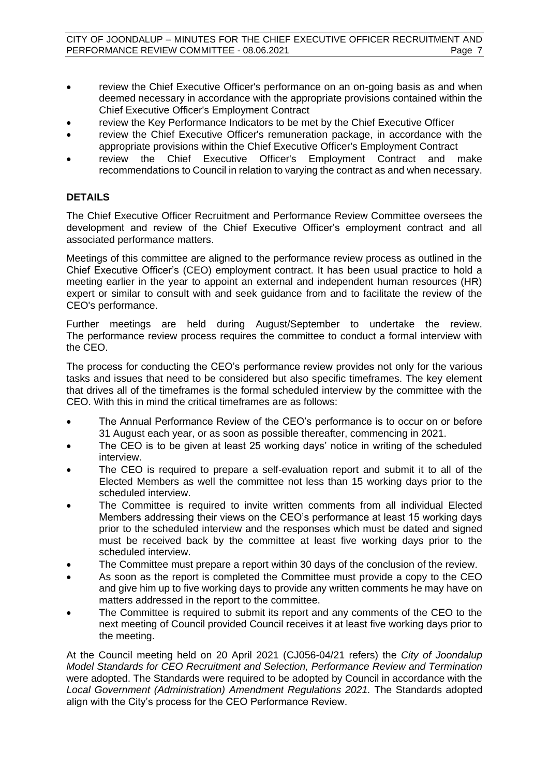- review the Chief Executive Officer's performance on an on-going basis as and when deemed necessary in accordance with the appropriate provisions contained within the Chief Executive Officer's Employment Contract
- review the Key Performance Indicators to be met by the Chief Executive Officer
- review the Chief Executive Officer's remuneration package, in accordance with the appropriate provisions within the Chief Executive Officer's Employment Contract
- review the Chief Executive Officer's Employment Contract and make recommendations to Council in relation to varying the contract as and when necessary.

# **DETAILS**

The Chief Executive Officer Recruitment and Performance Review Committee oversees the development and review of the Chief Executive Officer's employment contract and all associated performance matters.

Meetings of this committee are aligned to the performance review process as outlined in the Chief Executive Officer's (CEO) employment contract. It has been usual practice to hold a meeting earlier in the year to appoint an external and independent human resources (HR) expert or similar to consult with and seek guidance from and to facilitate the review of the CEO's performance.

Further meetings are held during August/September to undertake the review. The performance review process requires the committee to conduct a formal interview with the CEO.

The process for conducting the CEO's performance review provides not only for the various tasks and issues that need to be considered but also specific timeframes. The key element that drives all of the timeframes is the formal scheduled interview by the committee with the CEO. With this in mind the critical timeframes are as follows:

- The Annual Performance Review of the CEO's performance is to occur on or before 31 August each year, or as soon as possible thereafter, commencing in 2021.
- The CEO is to be given at least 25 working days' notice in writing of the scheduled interview.
- The CEO is required to prepare a self-evaluation report and submit it to all of the Elected Members as well the committee not less than 15 working days prior to the scheduled interview.
- The Committee is required to invite written comments from all individual Elected Members addressing their views on the CEO's performance at least 15 working days prior to the scheduled interview and the responses which must be dated and signed must be received back by the committee at least five working days prior to the scheduled interview.
- The Committee must prepare a report within 30 days of the conclusion of the review.
- As soon as the report is completed the Committee must provide a copy to the CEO and give him up to five working days to provide any written comments he may have on matters addressed in the report to the committee.
- The Committee is required to submit its report and any comments of the CEO to the next meeting of Council provided Council receives it at least five working days prior to the meeting.

At the Council meeting held on 20 April 2021 (CJ056-04/21 refers) the *City of Joondalup Model Standards for CEO Recruitment and Selection, Performance Review and Termination* were adopted. The Standards were required to be adopted by Council in accordance with the *Local Government (Administration) Amendment Regulations 2021.* The Standards adopted align with the City's process for the CEO Performance Review.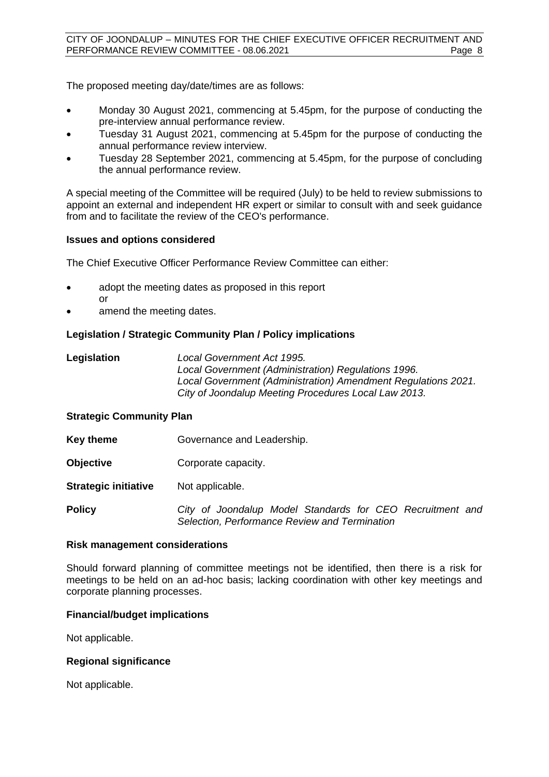The proposed meeting day/date/times are as follows:

- Monday 30 August 2021, commencing at 5.45pm, for the purpose of conducting the pre-interview annual performance review.
- Tuesday 31 August 2021, commencing at 5.45pm for the purpose of conducting the annual performance review interview.
- Tuesday 28 September 2021, commencing at 5.45pm, for the purpose of concluding the annual performance review.

A special meeting of the Committee will be required (July) to be held to review submissions to appoint an external and independent HR expert or similar to consult with and seek guidance from and to facilitate the review of the CEO's performance.

# **Issues and options considered**

The Chief Executive Officer Performance Review Committee can either:

- adopt the meeting dates as proposed in this report or
- amend the meeting dates.

# **Legislation / Strategic Community Plan / Policy implications**

**Legislation** *Local Government Act 1995. Local Government (Administration) Regulations 1996. Local Government (Administration) Amendment Regulations 2021. City of Joondalup Meeting Procedures Local Law 2013.*

# **Strategic Community Plan**

- **Key theme Governance and Leadership.**
- **Objective Corporate capacity.**
- **Strategic initiative** Not applicable.

**Policy** *City of Joondalup Model Standards for CEO Recruitment and Selection, Performance Review and Termination*

### **Risk management considerations**

Should forward planning of committee meetings not be identified, then there is a risk for meetings to be held on an ad-hoc basis; lacking coordination with other key meetings and corporate planning processes.

# **Financial/budget implications**

Not applicable.

# **Regional significance**

Not applicable.